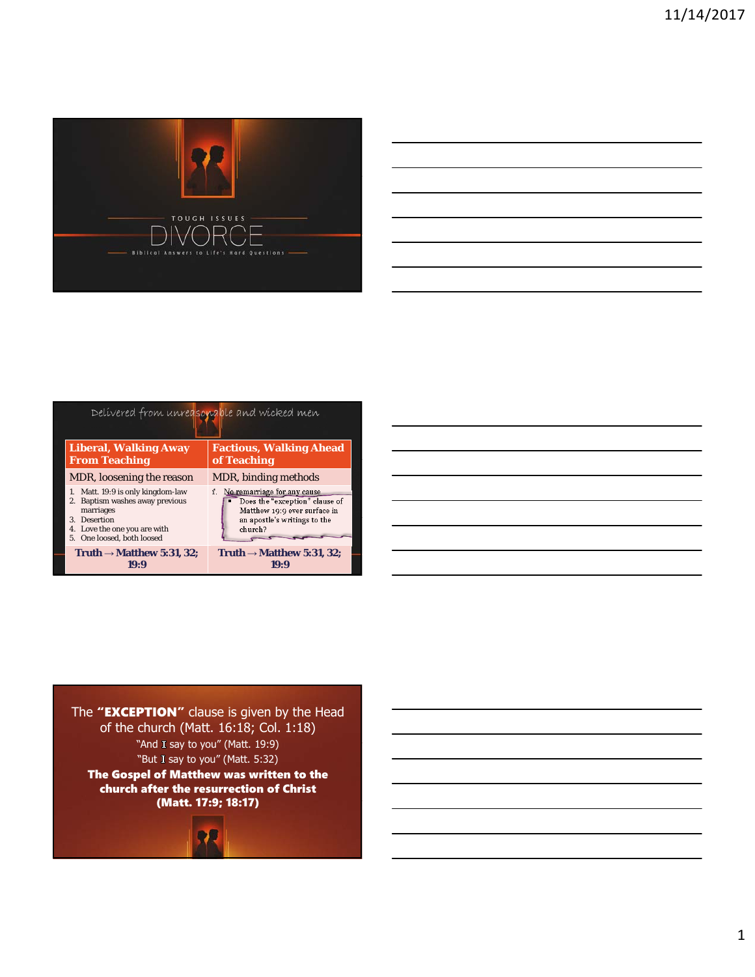

| Delivered from unreasonable and wicked men                                                                                                                                   |                                                                                                                                             |
|------------------------------------------------------------------------------------------------------------------------------------------------------------------------------|---------------------------------------------------------------------------------------------------------------------------------------------|
| <b>Liberal, Walking Away</b><br><b>From Teaching</b>                                                                                                                         | <b>Factious, Walking Ahead</b><br>of Teaching                                                                                               |
| MDR, loosening the reason                                                                                                                                                    | MDR, binding <i>methods</i>                                                                                                                 |
| Matt. 19:9 is only kingdom-law<br>1.<br>Baptism washes away previous<br>marriages<br><b>Desertion</b><br>3.<br>Love the one you are with<br>4.<br>5. One loosed, both loosed | 1. No remarriage for any cause<br>Does the "exception" clause of<br>Matthew 19:9 ever surface in<br>an apostle's writings to the<br>church? |
| Truth $\rightarrow$ Matthew 5:31, 32;<br>19RI                                                                                                                                | Truth $\rightarrow$ Matthew 5:31, 32;                                                                                                       |





church after the resurrection of Christ (Matt. 17:9; 18:17)



1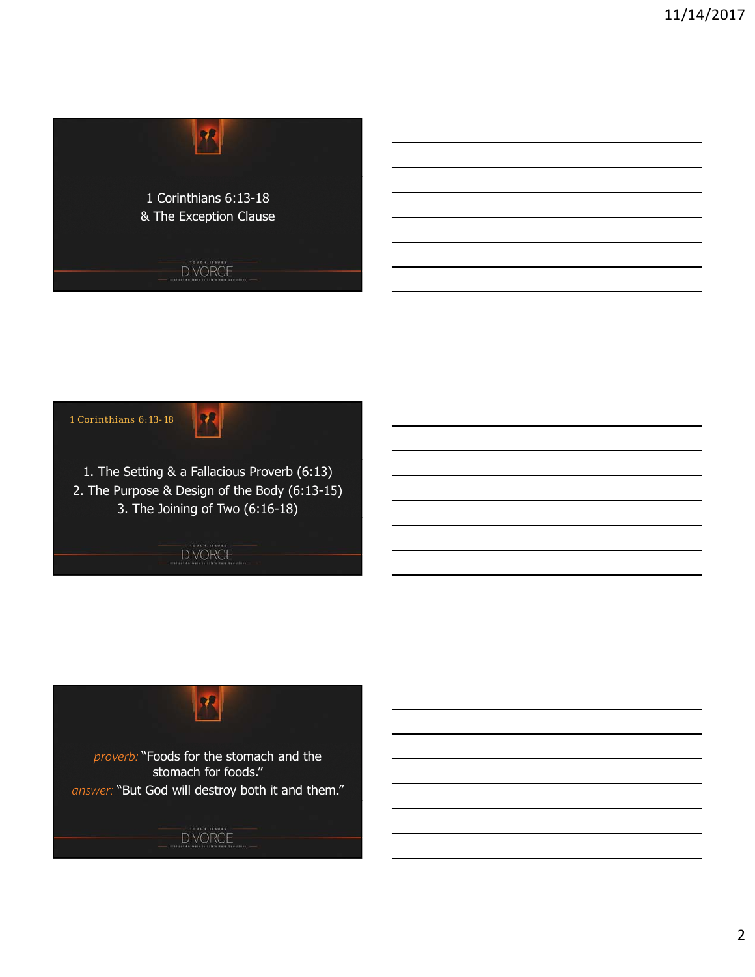



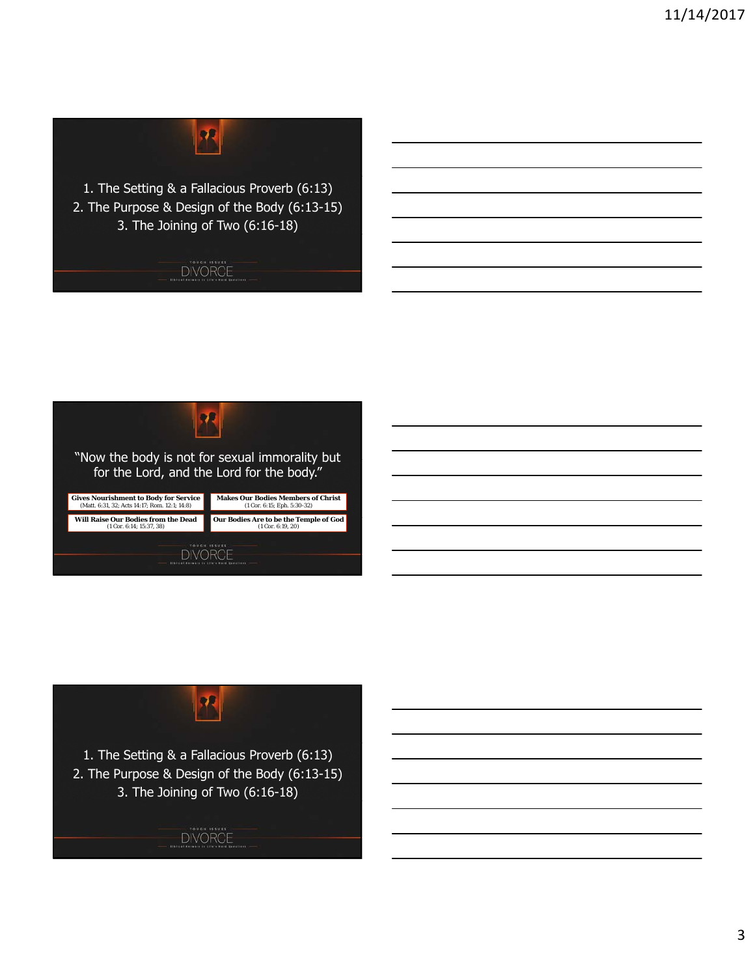

1. The Setting & a Fallacious Proverb (6:13) 2. The Purpose & Design of the Body (6:13-15) 3. The Joining of Two (6:16-18)







1. The Setting & a Fallacious Proverb (6:13) 2. The Purpose & Design of the Body (6:13-15) 3. The Joining of Two (6:16-18)

DIVORCE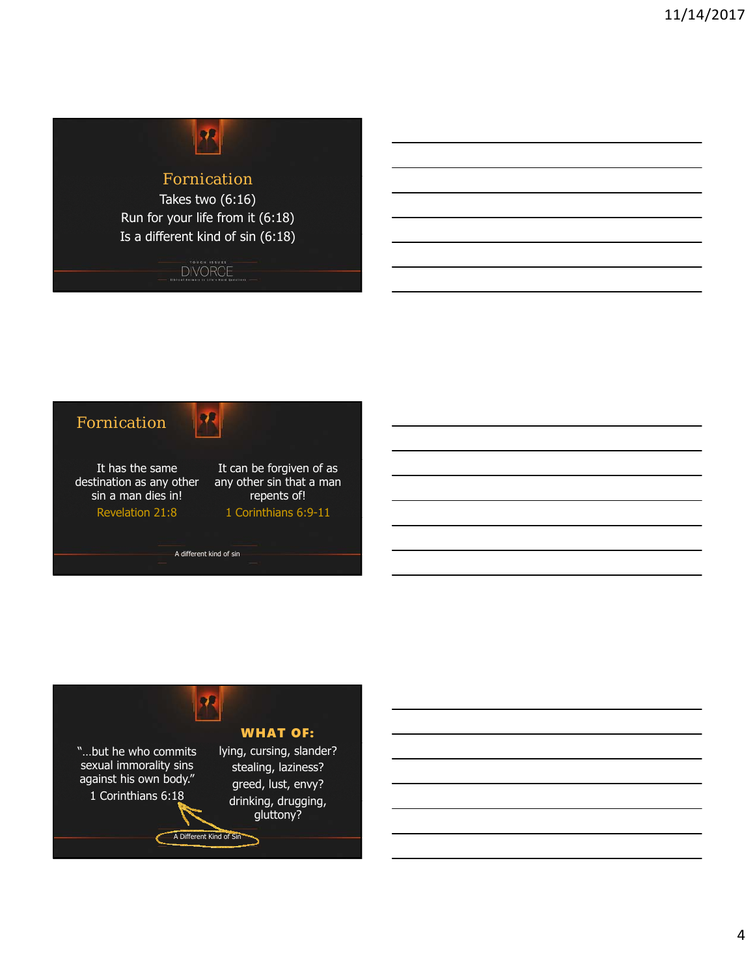

## Fornication

Takes two (6:16) Run for your life from it (6:18) Is a different kind of sin (6:18)

DIVORCE